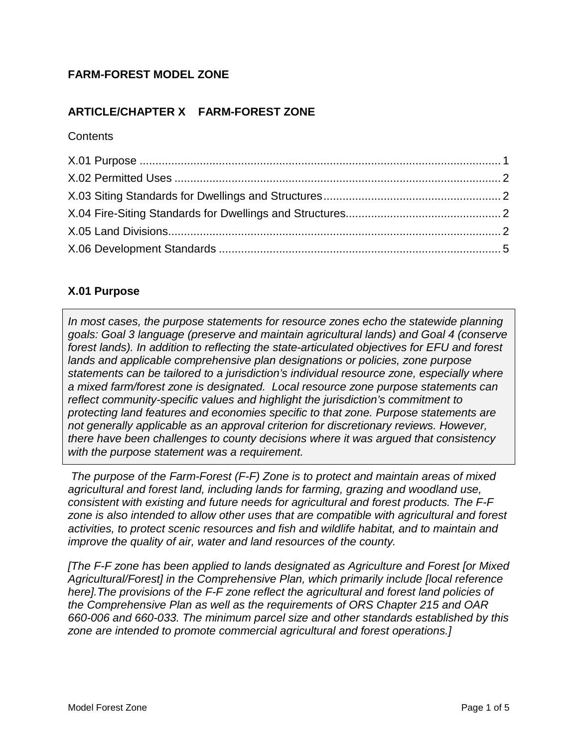# **FARM-FOREST MODEL ZONE**

# **ARTICLE/CHAPTER X FARM-FOREST ZONE**

#### **Contents**

## <span id="page-0-0"></span>**X.01 Purpose**

*In most cases, the purpose statements for resource zones echo the statewide planning goals: Goal 3 language (preserve and maintain agricultural lands) and Goal 4 (conserve forest lands). In addition to reflecting the state-articulated objectives for EFU and forest lands and applicable comprehensive plan designations or policies, zone purpose statements can be tailored to a jurisdiction's individual resource zone, especially where a mixed farm/forest zone is designated. Local resource zone purpose statements can reflect community-specific values and highlight the jurisdiction's commitment to protecting land features and economies specific to that zone. Purpose statements are not generally applicable as an approval criterion for discretionary reviews. However, there have been challenges to county decisions where it was argued that consistency with the purpose statement was a requirement.* 

*The purpose of the Farm-Forest (F-F) Zone is to protect and maintain areas of mixed agricultural and forest land, including lands for farming, grazing and woodland use, consistent with existing and future needs for agricultural and forest products. The F-F zone is also intended to allow other uses that are compatible with agricultural and forest activities, to protect scenic resources and fish and wildlife habitat, and to maintain and improve the quality of air, water and land resources of the county.* 

*[The F-F zone has been applied to lands designated as Agriculture and Forest [or Mixed Agricultural/Forest] in the Comprehensive Plan, which primarily include [local reference here].The provisions of the F-F zone reflect the agricultural and forest land policies of the Comprehensive Plan as well as the requirements of ORS Chapter 215 and OAR 660-006 and 660-033. The minimum parcel size and other standards established by this zone are intended to promote commercial agricultural and forest operations.]*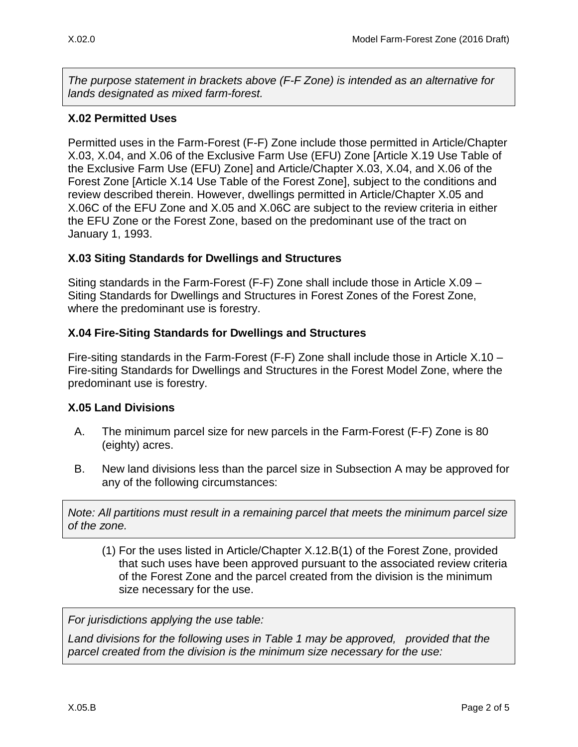*The purpose statement in brackets above (F-F Zone) is intended as an alternative for lands designated as mixed farm-forest.*

# <span id="page-1-0"></span>**X.02 Permitted Uses**

Permitted uses in the Farm-Forest (F-F) Zone include those permitted in Article/Chapter X.03, X.04, and X.06 of the Exclusive Farm Use (EFU) Zone [Article X.19 Use Table of the Exclusive Farm Use (EFU) Zone] and Article/Chapter X.03, X.04, and X.06 of the Forest Zone [Article X.14 Use Table of the Forest Zone], subject to the conditions and review described therein. However, dwellings permitted in Article/Chapter X.05 and X.06C of the EFU Zone and X.05 and X.06C are subject to the review criteria in either the EFU Zone or the Forest Zone, based on the predominant use of the tract on January 1, 1993.

## <span id="page-1-1"></span>**X.03 Siting Standards for Dwellings and Structures**

Siting standards in the Farm-Forest (F-F) Zone shall include those in Article X.09 – Siting Standards for Dwellings and Structures in Forest Zones of the Forest Zone, where the predominant use is forestry.

## <span id="page-1-2"></span>**X.04 Fire-Siting Standards for Dwellings and Structures**

Fire-siting standards in the Farm-Forest (F-F) Zone shall include those in Article X.10 – Fire-siting Standards for Dwellings and Structures in the Forest Model Zone, where the predominant use is forestry.

### <span id="page-1-3"></span>**X.05 Land Divisions**

- A. The minimum parcel size for new parcels in the Farm-Forest (F-F) Zone is 80 (eighty) acres.
- B. New land divisions less than the parcel size in Subsection A may be approved for any of the following circumstances:

*Note: All partitions must result in a remaining parcel that meets the minimum parcel size of the zone.*

(1) For the uses listed in Article/Chapter X.12.B(1) of the Forest Zone, provided that such uses have been approved pursuant to the associated review criteria of the Forest Zone and the parcel created from the division is the minimum size necessary for the use.

*For jurisdictions applying the use table:*

*Land divisions for the following uses in Table 1 may be approved, provided that the parcel created from the division is the minimum size necessary for the use:*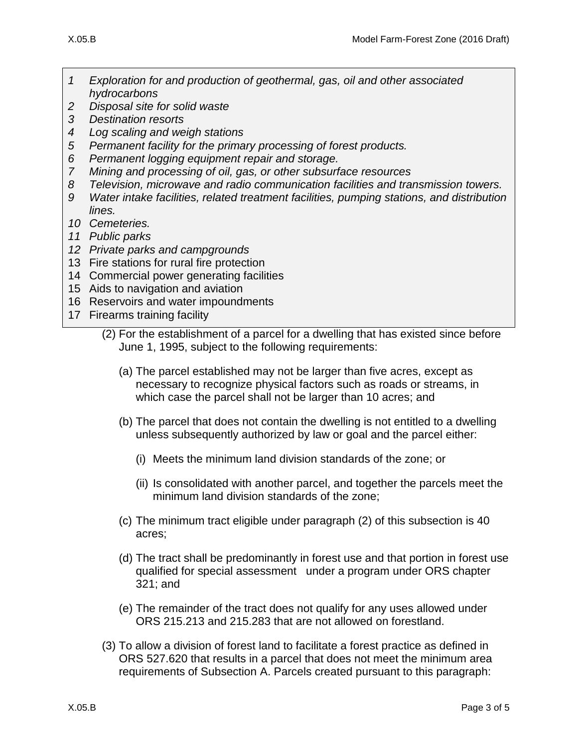- *1 Exploration for and production of geothermal, gas, oil and other associated hydrocarbons*
- *2 Disposal site for solid waste*
- *3 Destination resorts*
- *4 Log scaling and weigh stations*
- *5 Permanent facility for the primary processing of forest products.*
- *6 Permanent logging equipment repair and storage.*
- *7 Mining and processing of oil, gas, or other subsurface resources*
- *8 Television, microwave and radio communication facilities and transmission towers.*
- *9 Water intake facilities, related treatment facilities, pumping stations, and distribution lines.*
- *10 Cemeteries.*
- *11 Public parks*
- *12 Private parks and campgrounds*
- 13 Fire stations for rural fire protection
- 14 Commercial power generating facilities
- 15 Aids to navigation and aviation
- 16 Reservoirs and water impoundments
- <span id="page-2-0"></span>17 Firearms training facility

- (a) The parcel established may not be larger than five acres, except as necessary to recognize physical factors such as roads or streams, in which case the parcel shall not be larger than 10 acres; and
- (b) The parcel that does not contain the dwelling is not entitled to a dwelling unless subsequently authorized by law or goal and the parcel either:
	- (i) Meets the minimum land division standards of the zone; or
	- (ii) Is consolidated with another parcel, and together the parcels meet the minimum land division standards of the zone;
- (c) The minimum tract eligible under paragraph (2) of this subsection is 40 acres;
- (d) The tract shall be predominantly in forest use and that portion in forest use qualified for special assessment under a program under ORS chapter 321; and
- (e) The remainder of the tract does not qualify for any uses allowed under ORS 215.213 and 215.283 that are not allowed on forestland.
- (3) To allow a division of forest land to facilitate a forest practice as defined in ORS 527.620 that results in a parcel that does not meet the minimum area requirements of Subsection A. Parcels created pursuant to this paragraph:

<sup>(2)</sup> For the establishment of a parcel for a dwelling that has existed since before June 1, 1995, subject to the following requirements: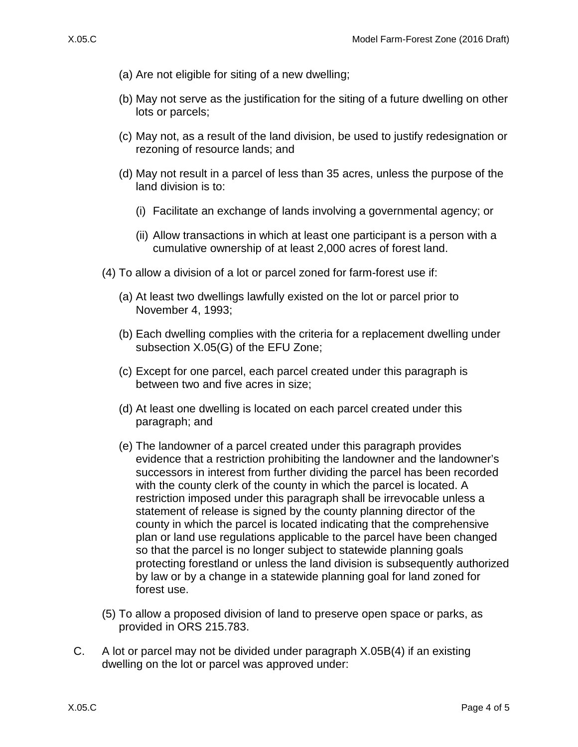- (a) Are not eligible for siting of a new dwelling;
- (b) May not serve as the justification for the siting of a future dwelling on other lots or parcels;
- (c) May not, as a result of the land division, be used to justify redesignation or rezoning of resource lands; and
- (d) May not result in a parcel of less than 35 acres, unless the purpose of the land division is to:
	- (i) Facilitate an exchange of lands involving a governmental agency; or
	- (ii) Allow transactions in which at least one participant is a person with a cumulative ownership of at least 2,000 acres of forest land.
- <span id="page-3-0"></span>(4) To allow a division of a lot or parcel zoned for farm-forest use if:
	- (a) At least two dwellings lawfully existed on the lot or parcel prior to November 4, 1993;
	- (b) Each dwelling complies with the criteria for a replacement dwelling under subsection X.05(G) of the EFU Zone;
	- (c) Except for one parcel, each parcel created under this paragraph is between two and five acres in size;
	- (d) At least one dwelling is located on each parcel created under this paragraph; and
	- (e) The landowner of a parcel created under this paragraph provides evidence that a restriction prohibiting the landowner and the landowner's successors in interest from further dividing the parcel has been recorded with the county clerk of the county in which the parcel is located. A restriction imposed under this paragraph shall be irrevocable unless a statement of release is signed by the county planning director of the county in which the parcel is located indicating that the comprehensive plan or land use regulations applicable to the parcel have been changed so that the parcel is no longer subject to statewide planning goals protecting forestland or unless the land division is subsequently authorized by law or by a change in a statewide planning goal for land zoned for forest use.
- (5) To allow a proposed division of land to preserve open space or parks, as provided in ORS 215.783.
- C. A lot or parcel may not be divided under paragraph [X.05B\(4\)](#page-3-0) if an existing dwelling on the lot or parcel was approved under: